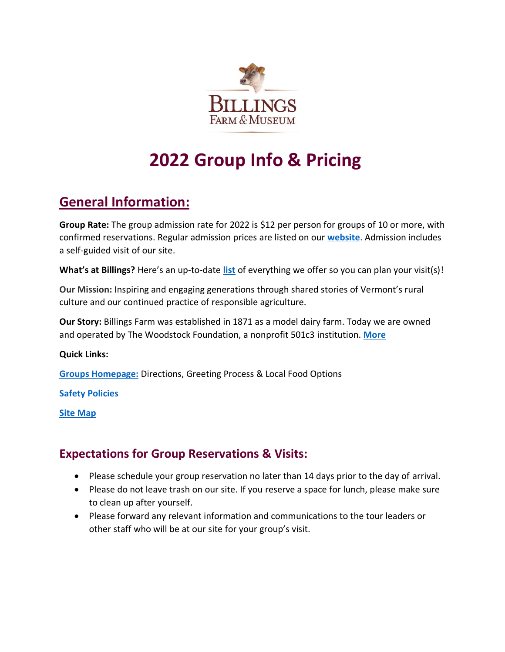

# **2022 Group Info & Pricing**

## **General Information:**

**Group Rate:** The group admission rate for 2022 is \$12 per person for groups of 10 or more, with confirmed reservations. Regular admission prices are listed on our **[website](https://billingsfarm.org/hours-admission/)**. Admission includes a self-guided visit of our site.

**What's at Billings?** Here's an up-to-date **[list](https://billingsfarm.org/visit/)** of everything we offer so you can plan your visit(s)!

**Our Mission:** Inspiring and engaging generations through shared stories of Vermont's rural culture and our continued practice of responsible agriculture.

**Our Story:** Billings Farm was established in 1871 as a model dairy farm. Today we are owned and operated by The Woodstock Foundation, a nonprofit 501c3 institution. **[More](https://billingsfarm.org/billings-farm-museum/)**

#### **Quick Links:**

**[Groups Homepage:](https://billingsfarm.org/groups/)** Directions, Greeting Process & Local Food Options

**[Safety Policies](https://billingsfarm.org/safety/)**

**[Site Map](https://billingsfarm.org/wp-content/uploads/2020/06/BILL_sitemap_cmyk_2019_web.jpg)**

## **Expectations for Group Reservations & Visits:**

- Please schedule your group reservation no later than 14 days prior to the day of arrival.
- Please do not leave trash on our site. If you reserve a space for lunch, please make sure to clean up after yourself.
- Please forward any relevant information and communications to the tour leaders or other staff who will be at our site for your group's visit.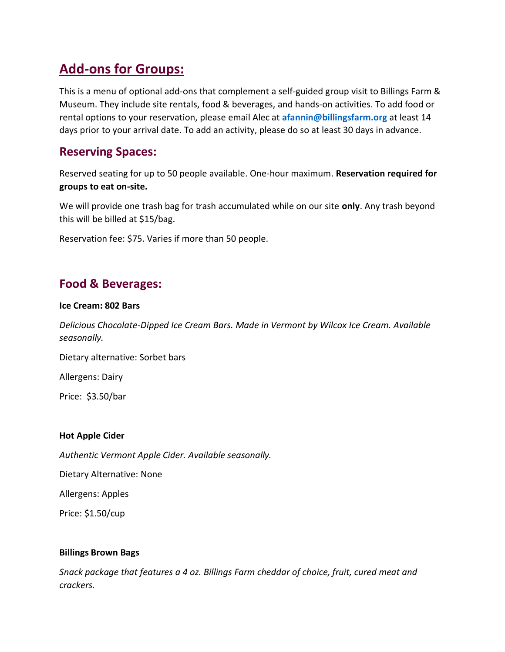## **Add-ons for Groups:**

This is a menu of optional add-ons that complement a self-guided group visit to Billings Farm & Museum. They include site rentals, food & beverages, and hands-on activities. To add food or rental options to your reservation, please email Alec at **[afannin@billingsfarm.org](mailto:afannin@billingsfarm.org)** at least 14 days prior to your arrival date. To add an activity, please do so at least 30 days in advance.

## **Reserving Spaces:**

Reserved seating for up to 50 people available. One-hour maximum. **Reservation required for groups to eat on-site.** 

We will provide one trash bag for trash accumulated while on our site **only**. Any trash beyond this will be billed at \$15/bag.

Reservation fee: \$75. Varies if more than 50 people.

## **Food & Beverages:**

#### **Ice Cream: 802 Bars**

*Delicious Chocolate-Dipped Ice Cream Bars. Made in Vermont by Wilcox Ice Cream. Available seasonally.*

Dietary alternative: Sorbet bars

Allergens: Dairy

Price: \$3.50/bar

#### **Hot Apple Cider**

*Authentic Vermont Apple Cider. Available seasonally.* 

Dietary Alternative: None

Allergens: Apples

Price: \$1.50/cup

#### **Billings Brown Bags**

*Snack package that features a 4 oz. Billings Farm cheddar of choice, fruit, cured meat and crackers.*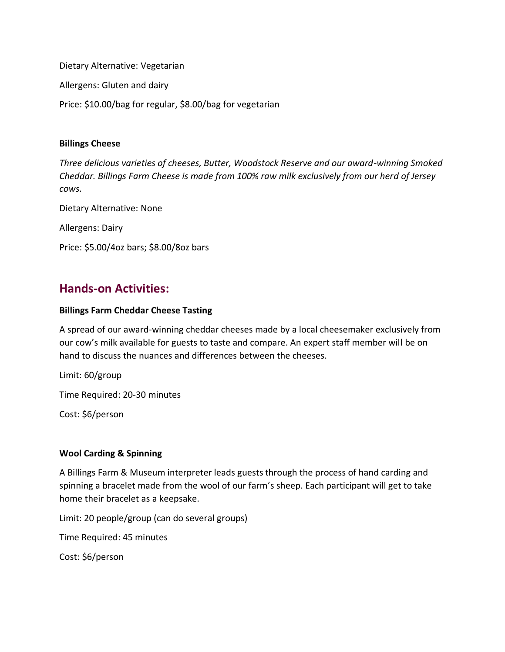Dietary Alternative: Vegetarian

Allergens: Gluten and dairy

Price: \$10.00/bag for regular, \$8.00/bag for vegetarian

#### **Billings Cheese**

*Three delicious varieties of cheeses, Butter, Woodstock Reserve and our award-winning Smoked Cheddar. Billings Farm Cheese is made from 100% raw milk exclusively from our herd of Jersey cows.* 

Dietary Alternative: None

Allergens: Dairy

Price: \$5.00/4oz bars; \$8.00/8oz bars

### **Hands-on Activities:**

#### **Billings Farm Cheddar Cheese Tasting**

A spread of our award-winning cheddar cheeses made by a local cheesemaker exclusively from our cow's milk available for guests to taste and compare. An expert staff member will be on hand to discuss the nuances and differences between the cheeses.

Limit: 60/group

Time Required: 20-30 minutes

Cost: \$6/person

#### **Wool Carding & Spinning**

A Billings Farm & Museum interpreter leads guests through the process of hand carding and spinning a bracelet made from the wool of our farm's sheep. Each participant will get to take home their bracelet as a keepsake.

Limit: 20 people/group (can do several groups)

Time Required: 45 minutes

Cost: \$6/person